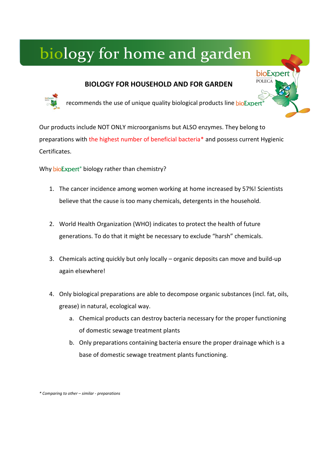# **BIOLOGY FOR HOUSEHOLD AND FOR GARDEN**



recommends the use of unique quality biological products line bioExpert

bioExpert **POLECA** 

Our products include NOT ONLY microorganisms but ALSO enzymes. They belong to preparations with the highest number of beneficial bacteria\* and possess current Hygienic Certificates.

Why bioExpert<sup>®</sup> biology rather than chemistry?

- 1. The cancer incidence among women working at home increased by 57%! Scientists believe that the cause is too many chemicals, detergents in the household.
- 2. World Health Organization (WHO) indicates to protect the health of future generations. To do that it might be necessary to exclude "harsh" chemicals.
- 3. Chemicals acting quickly but only locally organic deposits can move and build-up again elsewhere!
- 4. Only biological preparations are able to decompose organic substances (incl. fat, oils, grease) in natural, ecological way.
	- a. Chemical products can destroy bacteria necessary for the proper functioning of domestic sewage treatment plants
	- b. Only preparations containing bacteria ensure the proper drainage which is a base of domestic sewage treatment plants functioning.

*\* Comparing to other – similar - preparations*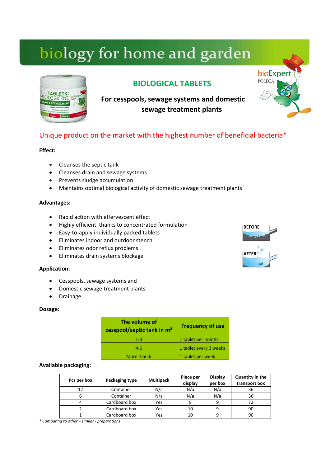

# **BIOLOGICAL TABLETS**

**For cesspools, sewage systems and domestic sewage treatment plants**

# Unique product on the market with the highest number of beneficial bacteria\*

### **Effect:**

- Cleanses the septic tank
- Cleanses drain and sewage systems
- Prevents sludge accumulation
- Maintains optimal biological activity of domestic sewage treatment plants

#### **Advantages:**

- Rapid action with effervescent effect
- Highly efficient thanks to concentrated formulation
- Easy-to-apply individually packed tablets
- Eliminates indoor and outdoor stench
- Eliminates odor reflux problems
- Eliminates drain systems blockage

#### **Application:**

- Cesspools, sewage systems and
- Domestic sewage treatment plants
- Drainage

#### **Dosage:**

| The volume of<br>cesspool/septic tank in m <sup>3</sup> | <b>Frequency of use</b> |
|---------------------------------------------------------|-------------------------|
| $1 - 3$                                                 | 1 tablet per month      |
| $4 - 6$                                                 | 1 tablet every 2 weeks  |
| More than 6                                             | 1 tablet per week       |

### **Available packaging:**

| Pcs per box | Packaging type | <b>Multipack</b> | Piece per<br>display | <b>Display</b><br>per box | Quantity in the<br>transport box |
|-------------|----------------|------------------|----------------------|---------------------------|----------------------------------|
| 12          | Container      | N/a              | N/a                  | N/a                       | 36                               |
|             | Container      | N/a              | N/a                  | N/a                       | 36                               |
|             | Cardboard box  | Yes              |                      | 9                         | 72                               |
|             | Cardboard box  | Yes              | 10                   |                           | 90                               |
|             | Cardboard box  | Yes              | 10                   |                           | 90                               |

*\* Comparing to other – similar - preparations*

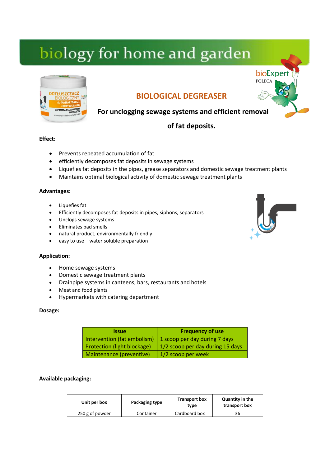

# **BIOLOGICAL DEGREASER**

# **For unclogging sewage systems and efficient removal**

# **of fat deposits.**

### **Effect:**

- Prevents repeated accumulation of fat
- **•** efficiently decomposes fat deposits in sewage systems
- Liquefies fat deposits in the pipes, grease separators and domestic sewage treatment plants
- Maintains optimal biological activity of domestic sewage treatment plants

### **Advantages:**

- Liquefies fat
- Efficiently decomposes fat deposits in pipes, siphons, separators
- Unclogs sewage systems
- Eliminates bad smells
- natural product, environmentally friendly
- easy to use water soluble preparation

### **Application:**

- Home sewage systems
- Domestic sewage treatment plants
- Drainpipe systems in canteens, bars, restaurants and hotels
- Meat and food plants
- Hypermarkets with catering department

#### **Dosage:**

| <b>Issue</b>                       | <b>Frequency of use</b>          |
|------------------------------------|----------------------------------|
| Intervention (fat embolism)        | 1 scoop per day during 7 days    |
| <b>Protection (light blockage)</b> | 1/2 scoop per day during 15 days |
| Maintenance (preventive)           | 1/2 scoop per week               |

### **Available packaging:**

| Unit per box    | Packaging type | <b>Transport box</b><br>tvpe | Quantity in the<br>transport box |
|-----------------|----------------|------------------------------|----------------------------------|
| 250 g of powder | Container      | Cardboard box                | 36                               |

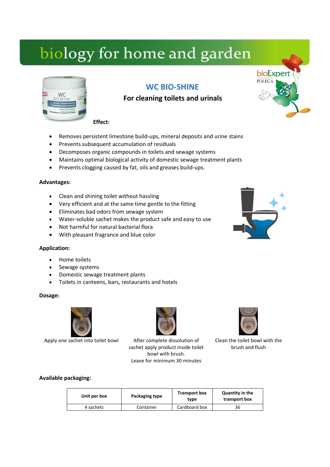

# **WC BIO-SHINE**

# **For cleaning toilets and urinals**

**Effect:**

- Removes persistent limestone build-ups, mineral deposits and urine stains
- Prevents subsequent accumulation of residuals
- Decomposes organic compounds in toilets and sewage systems
- Maintains optimal biological activity of domestic sewage treatment plants
- Prevents clogging caused by fat, oils and greases build-ups.

### **Advantages:**

- Clean and shining toilet without hassling
- Very efficient and at the same time gentle to the fitting
- Eliminates bad odors from sewage system
- Water-soluble sachet makes the product safe and easy to use
- Not harmful for natural bacterial flora
- With pleasant fragrance and blue color

### **Application:**

- Home toilets
- Sewage systems
- Domestic sewage treatment plants
- Toilets in canteens, bars, restaurants and hotels

#### **Dosage:**



Apply one sachet into toilet bowl After complete dissolution of

sachet apply product inside toilet bowl with brush. Leave for minimum 30 minutes



Clean the toilet bowl with the brush and flush

### **Available packaging:**

| Unit per box | Packaging type | <b>Transport box</b><br>tvpe | <b>Quantity in the</b><br>transport box |
|--------------|----------------|------------------------------|-----------------------------------------|
| 4 sachets    | Container      | Cardboard box                | 36                                      |

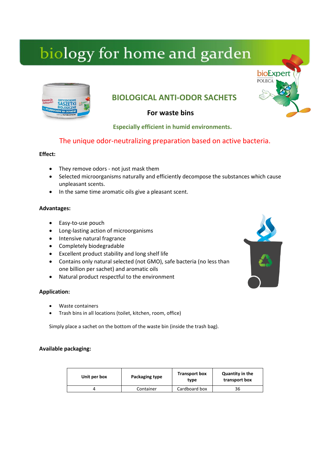

# **BIOLOGICAL ANTI-ODOR SACHETS**

# **For waste bins**

 **Especially efficient in humid environments.**

# The unique odor-neutralizing preparation based on active bacteria.

### **Effect:**

- They remove odors not just mask them
- Selected microorganisms naturally and efficiently decompose the substances which cause unpleasant scents.
- In the same time aromatic oils give a pleasant scent.

### **Advantages:**

- Easy-to-use pouch
- Long-lasting action of microorganisms
- Intensive natural fragrance
- Completely biodegradable
- Excellent product stability and long shelf life
- Contains only natural selected (not GMO), safe bacteria (no less than one billion per sachet) and aromatic oils
- Natural product respectful to the environment

### **Application:**

- Waste containers
- Trash bins in all locations (toilet, kitchen, room, office)

Simply place a sachet on the bottom of the waste bin (inside the trash bag).

### **Available packaging:**

| Unit per box | Packaging type | <b>Transport box</b><br>type | <b>Quantity in the</b><br>transport box |
|--------------|----------------|------------------------------|-----------------------------------------|
|              | Container      | Cardboard box                | 36                                      |

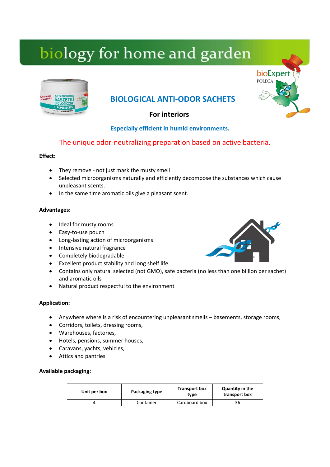

# **BIOLOGICAL ANTI-ODOR SACHETS**

 **For interiors**

# **Especially efficient in humid environments.**

# The unique odor-neutralizing preparation based on active bacteria.

# **Effect:**

- They remove not just mask the musty smell
- Selected microorganisms naturally and efficiently decompose the substances which cause unpleasant scents.
- In the same time aromatic oils give a pleasant scent.

# **Advantages:**

- Ideal for musty rooms
- Easy-to-use pouch
- Long-lasting action of microorganisms
- Intensive natural fragrance
- Completely biodegradable
- Excellent product stability and long shelf life
- Contains only natural selected (not GMO), safe bacteria (no less than one billion per sachet) and aromatic oils
- Natural product respectful to the environment

# **Application:**

- Anywhere where is a risk of encountering unpleasant smells basements, storage rooms,
- Corridors, toilets, dressing rooms,
- Warehouses, factories,
- Hotels, pensions, summer houses,
- Caravans, yachts, vehicles,
- Attics and pantries

# **Available packaging:**

| Unit per box | Packaging type | <b>Transport box</b><br>type | Quantity in the<br>transport box |
|--------------|----------------|------------------------------|----------------------------------|
|              | Container      | Cardboard box                | 36                               |

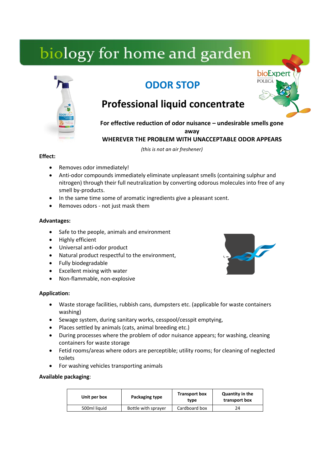# **ODOR STOP**



# **Professional liquid concentrate**

**For effective reduction of odor nuisance – undesirable smells gone** 

**away**

**WHEREVER THE PROBLEM WITH UNACCEPTABLE ODOR APPEARS**

 *(this is not an air freshener)*

# **Effect:**

- Removes odor immediately!
- Anti-odor compounds immediately eliminate unpleasant smells (containing sulphur and nitrogen) through their full neutralization by converting odorous molecules into free of any smell by-products.
- In the same time some of aromatic ingredients give a pleasant scent.
- Removes odors not just mask them

# **Advantages:**

- Safe to the people, animals and environment
- Highly efficient
- Universal anti-odor product
- Natural product respectful to the environment,
- Fully biodegradable
- Excellent mixing with water
- Non-flammable, non-explosive

# **Application:**

- Waste storage facilities, rubbish cans, dumpsters etc. (applicable for waste containers washing)
- Sewage system, during sanitary works, cesspool/cesspit emptying,
- Places settled by animals (cats, animal breeding etc.)
- During processes where the problem of odor nuisance appears; for washing, cleaning containers for waste storage
- Fetid rooms/areas where odors are perceptible; utility rooms; for cleaning of neglected toilets
- For washing vehicles transporting animals

# **Available packaging**:

| Unit per box | Packaging type      | <b>Transport box</b><br>tvpe | Quantity in the<br>transport box |
|--------------|---------------------|------------------------------|----------------------------------|
| 500ml liquid | Bottle with sprayer | Cardboard box                |                                  |

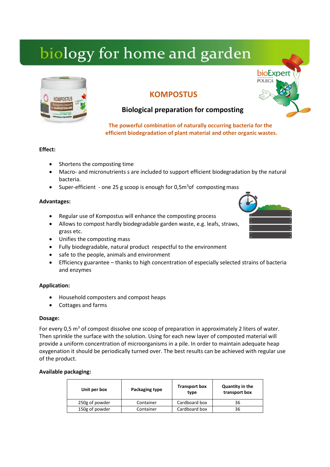

# **KOMPOSTUS**



# **Biological preparation for composting**

 **The powerful combination of naturally occurring bacteria for the efficient biodegradation of plant material and other organic wastes.**

# **Effect:**

- Shortens the composting time
- Macro- and micronutrients s are included to support efficient biodegradation by the natural bacteria.
- Super-efficient one 25 g scoop is enough for  $0.5<sup>m3</sup>$ of composting mass

### **Advantages:**

- Regular use of Kompostus will enhance the composting process
- Allows to compost hardly biodegradable garden waste, e.g. leafs, straws, grass etc.
- Unifies the composting mass
- Fully biodegradable, natural product respectful to the environment
- safe to the people, animals and environment
- Efficiency guarantee thanks to high concentration of especially selected strains of bacteria and enzymes

# **Application:**

- Household composters and compost heaps
- Cottages and farms

### **Dosage:**

For every 0,5  $m<sup>3</sup>$  of compost dissolve one scoop of preparation in approximately 2 liters of water. Then sprinkle the surface with the solution. Using for each new layer of composted material will provide a uniform concentration of microorganisms in a pile. In order to maintain adequate heap oxygenation it should be periodically turned over. The best results can be achieved with regular use of the product.

### **Available packaging:**

| Unit per box   | Packaging type | <b>Transport box</b><br>type | Quantity in the<br>transport box |
|----------------|----------------|------------------------------|----------------------------------|
| 250g of powder | Container      | Cardboard box                | 36                               |
| 150g of powder | Container      | Cardboard box                | 36                               |

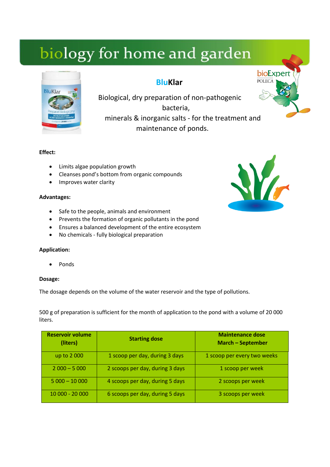

# **BluKlar**



Biological, dry preparation of non-pathogenic bacteria, minerals & inorganic salts - for the treatment and maintenance of ponds.

### **Effect:**

- Limits algae population growth
- Cleanses pond's bottom from organic compounds
- Improves water clarity

### **Advantages:**

- Safe to the people, animals and environment
- Prevents the formation of organic pollutants in the pond
- Ensures a balanced development of the entire ecosystem
- No chemicals fully biological preparation

### **Application:**

Ponds

### **Dosage:**

The dosage depends on the volume of the water reservoir and the type of pollutions.

500 g of preparation is sufficient for the month of application to the pond with a volume of 20 000 liters.

| <b>Reservoir volume</b><br>(liters) | <b>Starting dose</b>            | <b>Maintenance dose</b><br><b>March - September</b> |
|-------------------------------------|---------------------------------|-----------------------------------------------------|
| up to 2 000                         | 1 scoop per day, during 3 days  | 1 scoop per every two weeks                         |
| $2000 - 5000$                       | 2 scoops per day, during 3 days | 1 scoop per week                                    |
| $5000 - 10000$                      | 4 scoops per day, during 5 days | 2 scoops per week                                   |
| 10 000 - 20 000                     | 6 scoops per day, during 5 days | 3 scoops per week                                   |